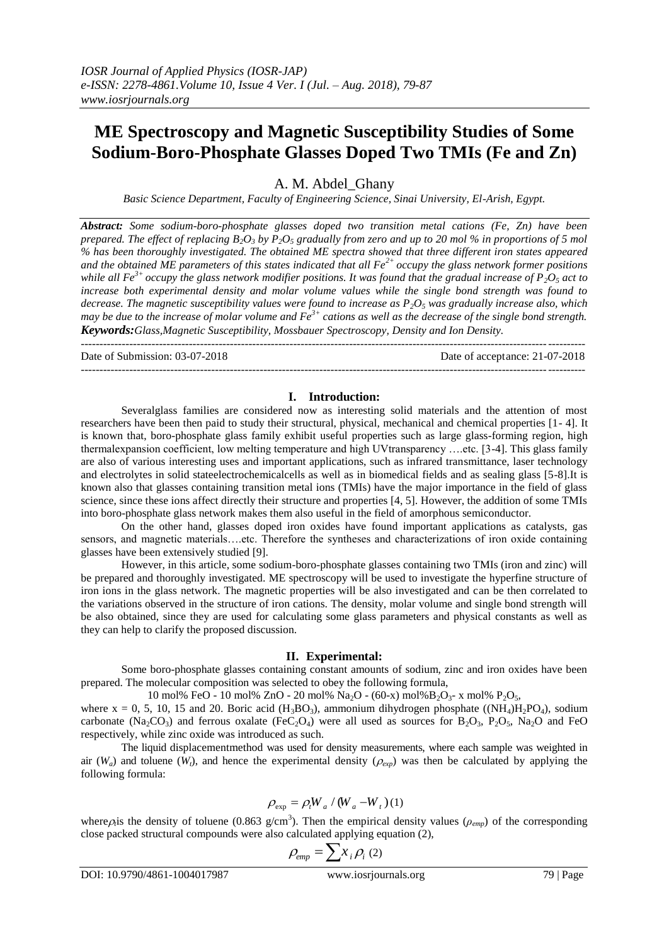# **ME Spectroscopy and Magnetic Susceptibility Studies of Some Sodium-Boro-Phosphate Glasses Doped Two TMIs (Fe and Zn)**

A. M. Abdel\_Ghany

*Basic Science Department, Faculty of Engineering Science, Sinai University, El-Arish, Egypt.*

*Abstract: Some sodium-boro-phosphate glasses doped two transition metal cations (Fe, Zn) have been prepared. The effect of replacing*  $B_2O_3$  *by*  $\overline{P}_2O_5$  *gradually from zero and up to 20 mol % in proportions of 5 mol % has been thoroughly investigated. The obtained ME spectra showed that three different iron states appeared and the obtained ME parameters of this states indicated that all Fe2+ occupy the glass network former positions while all Fe3+ occupy the glass network modifier positions. It was found that the gradual increase of P2O<sup>5</sup> act to increase both experimental density and molar volume values while the single bond strength was found to decrease. The magnetic susceptibility values were found to increase as P2O<sup>5</sup> was gradually increase also, which may be due to the increase of molar volume and Fe3+ cations as well as the decrease of the single bond strength. Keywords:Glass,Magnetic Susceptibility, Mossbauer Spectroscopy, Density and Ion Density.*

---------------------------------------------------------------------------------------------------------------------------------------

Date of Submission: 03-07-2018 Date of acceptance: 21-07-2018

### **I. Introduction:**

---------------------------------------------------------------------------------------------------------------------------------------

Severalglass families are considered now as interesting solid materials and the attention of most researchers have been then paid to study their structural, physical, mechanical and chemical properties [1- 4]. It is known that, boro-phosphate glass family exhibit useful properties such as large glass-forming region, high thermalexpansion coefficient, low melting temperature and high UVtransparency ….etc. [3-4]. This glass family are also of various interesting uses and important applications, such as infrared transmittance, laser technology and electrolytes in solid stateelectrochemicalcells as well as in biomedical fields and as sealing glass [5-8].It is known also that glasses containing transition metal ions (TMIs) have the major importance in the field of glass science, since these ions affect directly their structure and properties [4, 5]. However, the addition of some TMIs into boro-phosphate glass network makes them also useful in the field of amorphous semiconductor.

On the other hand, glasses doped iron oxides have found important applications as catalysts, gas sensors, and magnetic materials….etc. Therefore the syntheses and characterizations of iron oxide containing glasses have been extensively studied [9].

However, in this article, some sodium-boro-phosphate glasses containing two TMIs (iron and zinc) will be prepared and thoroughly investigated. ME spectroscopy will be used to investigate the hyperfine structure of iron ions in the glass network. The magnetic properties will be also investigated and can be then correlated to the variations observed in the structure of iron cations. The density, molar volume and single bond strength will be also obtained, since they are used for calculating some glass parameters and physical constants as well as they can help to clarify the proposed discussion.

### **II. Experimental:**

Some boro-phosphate glasses containing constant amounts of sodium, zinc and iron oxides have been prepared. The molecular composition was selected to obey the following formula,

10 mol% FeO - 10 mol% ZnO - 20 mol% Na<sub>2</sub>O - (60-x) mol% B<sub>2</sub>O<sub>3</sub>- x mol% P<sub>2</sub>O<sub>5</sub>, where  $x = 0$ , 5, 10, 15 and 20. Boric acid (H<sub>3</sub>BO<sub>3</sub>), ammonium dihydrogen phosphate ((NH<sub>4</sub>)H<sub>2</sub>PO<sub>4</sub>), sodium carbonate (Na<sub>2</sub>CO<sub>3</sub>) and ferrous oxalate (FeC<sub>2</sub>O<sub>4</sub>) were all used as sources for B<sub>2</sub>O<sub>3</sub>, P<sub>2</sub>O<sub>5</sub>, Na<sub>2</sub>O and FeO respectively, while zinc oxide was introduced as such.

The liquid displacementmethod was used for density measurements, where each sample was weighted in air  $(W_a)$  and toluene  $(W_t)$ , and hence the experimental density  $(\rho_{\text{exp}})$  was then be calculated by applying the following formula:

$$
\rho_{\rm exp} = \rho_t W_a / (W_a - W_t)(1)
$$

where  $\rho_i$  is the density of toluene (0.863 g/cm<sup>3</sup>). Then the empirical density values ( $\rho_{emp}$ ) of the corresponding close packed structural compounds were also calculated applying equation (2),

$$
\rho_{emp} = \sum x_i \rho_i \left( 2 \right)
$$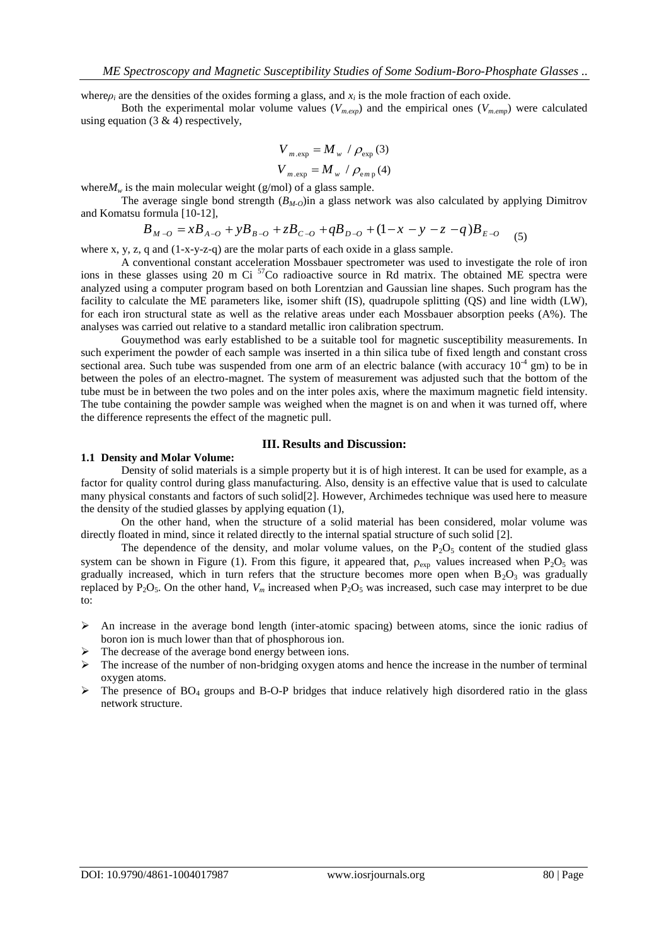where $\rho_i$  are the densities of the oxides forming a glass, and  $x_i$  is the mole fraction of each oxide.

Both the experimental molar volume values  $(V_{m,exp})$  and the empirical ones  $(V_{m,emp})$  were calculated using equation  $(3 \& 4)$  respectively,

$$
V_{m.\exp} = M_w / \rho_{\exp}(3)
$$
  

$$
V_{m.\exp} = M_w / \rho_{\exp}(4)
$$

where $M_w$  is the main molecular weight (g/mol) of a glass sample.

The average single bond strength (*BM-O*)in a glass network was also calculated by applying Dimitrov and Komatsu formula [10-12], is equal to modecular weight (g/mol) of a glass sample.<br>
average single bond strength ( $B_{M-O}$ ) in a glass network was also calculated by apply<br>
formula [10-12],<br>  $B_{M-O} = xB_{A-O} + yB_{B-O} + zB_{C-O} + qB_{D-O} + (1-x-y-z-q)B_{E-O}$  (5)

$$
B_{M-O} = xB_{A-O} + yB_{B-O} + zB_{C-O} + qB_{D-O} + (1-x-y-z-q)B_{E-O} \tag{5}
$$

where x, y, z, q and (1-x-y-z-q) are the molar parts of each oxide in a glass sample.

A conventional constant acceleration Mossbauer spectrometer was used to investigate the role of iron ions in these glasses using 20 m Ci <sup>57</sup>Co radioactive source in Rd matrix. The obtained ME spectra were analyzed using a computer program based on both Lorentzian and Gaussian line shapes. Such program has the facility to calculate the ME parameters like, isomer shift (IS), quadrupole splitting (QS) and line width (LW), for each iron structural state as well as the relative areas under each Mossbauer absorption peeks (A%). The analyses was carried out relative to a standard metallic iron calibration spectrum.

Gouymethod was early established to be a suitable tool for magnetic susceptibility measurements. In such experiment the powder of each sample was inserted in a thin silica tube of fixed length and constant cross sectional area. Such tube was suspended from one arm of an electric balance (with accuracy  $10^{-4}$  gm) to be in between the poles of an electro-magnet. The system of measurement was adjusted such that the bottom of the tube must be in between the two poles and on the inter poles axis, where the maximum magnetic field intensity. The tube containing the powder sample was weighed when the magnet is on and when it was turned off, where the difference represents the effect of the magnetic pull.

## **III. Results and Discussion:**

#### **1.1 Density and Molar Volume:**

Density of solid materials is a simple property but it is of high interest. It can be used for example, as a factor for quality control during glass manufacturing. Also, density is an effective value that is used to calculate many physical constants and factors of such solid[2]. However, Archimedes technique was used here to measure the density of the studied glasses by applying equation (1),

On the other hand, when the structure of a solid material has been considered, molar volume was directly floated in mind, since it related directly to the internal spatial structure of such solid [2].

The dependence of the density, and molar volume values, on the  $P_2O_5$  content of the studied glass system can be shown in Figure (1). From this figure, it appeared that,  $\rho_{exp}$  values increased when P<sub>2</sub>O<sub>5</sub> was gradually increased, which in turn refers that the structure becomes more open when  $B_2O_3$  was gradually replaced by P<sub>2</sub>O<sub>5</sub>. On the other hand,  $V_m$  increased when P<sub>2</sub>O<sub>5</sub> was increased, such case may interpret to be due to:

- $\triangleright$  An increase in the average bond length (inter-atomic spacing) between atoms, since the ionic radius of boron ion is much lower than that of phosphorous ion.
- The decrease of the average bond energy between ions.
- $\triangleright$  The increase of the number of non-bridging oxygen atoms and hence the increase in the number of terminal oxygen atoms.
- $\triangleright$  The presence of BO<sub>4</sub> groups and B-O-P bridges that induce relatively high disordered ratio in the glass network structure.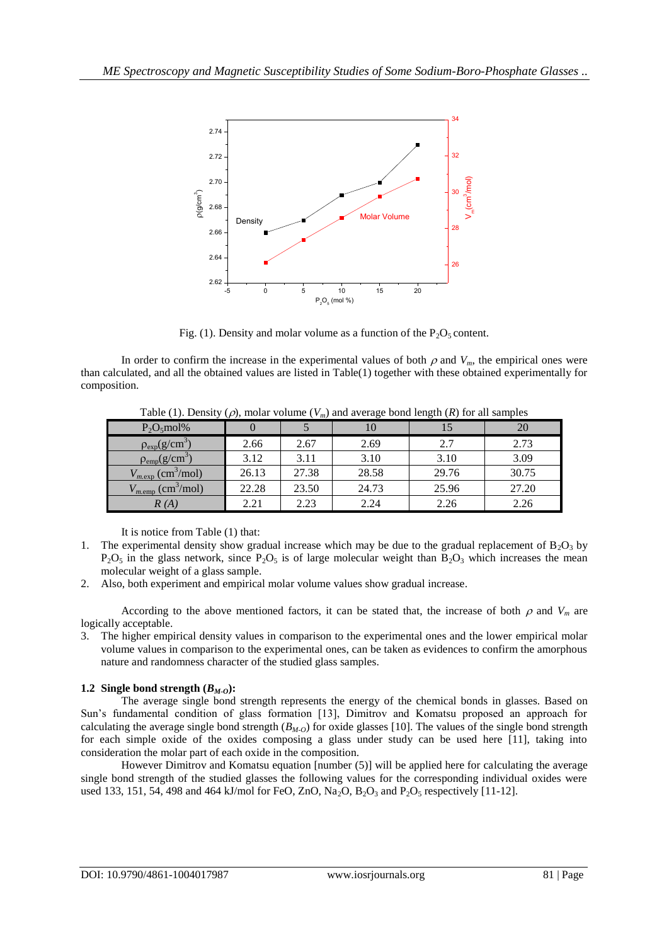

Fig. (1). Density and molar volume as a function of the  $P_2O_5$  content.

In order to confirm the increase in the experimental values of both  $\rho$  and  $V_m$ , the empirical ones were than calculated, and all the obtained values are listed in Table(1) together with these obtained experimentally for composition.

|                                    | Table (1). Density ( $\mu$ ), molar volume ( $v_m$ ) and average bond length (IV) for an samples |       |       |       |       |
|------------------------------------|--------------------------------------------------------------------------------------------------|-------|-------|-------|-------|
| $P_2O_5$ mol%                      |                                                                                                  |       |       |       | 20    |
| $\rho_{exp}(g/cm^3)$               | 2.66                                                                                             | 2.67  | 2.69  | 2.7   | 2.73  |
| $\rho_{\rm emp}(g/cm^3)$           | 3.12                                                                                             | 3.11  | 3.10  | 3.10  | 3.09  |
| $V_{m,exp}$ (cm <sup>3</sup> /mol) | 26.13                                                                                            | 27.38 | 28.58 | 29.76 | 30.75 |
| $V_{m,emp}$ (cm <sup>3</sup> /mol) | 22.28                                                                                            | 23.50 | 24.73 | 25.96 | 27.20 |
| R(A)                               | 2.21                                                                                             | 2.23  | 2.24  | 2.26  | 2.26  |

Table (1). Density (a), molar volume (*V*) and average bond length (*R*) for all samples

It is notice from Table (1) that:

- 1. The experimental density show gradual increase which may be due to the gradual replacement of  $B_2O_3$  by  $P_2O_5$  in the glass network, since  $P_2O_5$  is of large molecular weight than  $B_2O_3$  which increases the mean molecular weight of a glass sample.
- 2. Also, both experiment and empirical molar volume values show gradual increase.

According to the above mentioned factors, it can be stated that, the increase of both  $\rho$  and  $V_m$  are logically acceptable.

3. The higher empirical density values in comparison to the experimental ones and the lower empirical molar volume values in comparison to the experimental ones, can be taken as evidences to confirm the amorphous nature and randomness character of the studied glass samples.

# **1.2 Single bond strength**  $(B_M o)$ **:**

The average single bond strength represents the energy of the chemical bonds in glasses. Based on Sun's fundamental condition of glass formation [13], Dimitrov and Komatsu proposed an approach for calculating the average single bond strength  $(B_{M-<sub>O</sub>})$  for oxide glasses [10]. The values of the single bond strength for each simple oxide of the oxides composing a glass under study can be used here [11], taking into consideration the molar part of each oxide in the composition.

However Dimitrov and Komatsu equation [number (5)] will be applied here for calculating the average single bond strength of the studied glasses the following values for the corresponding individual oxides were used 133, 151, 54, 498 and 464 kJ/mol for FeO, ZnO,  $Na_2O$ ,  $B_2O_3$  and  $P_2O_5$  respectively [11-12].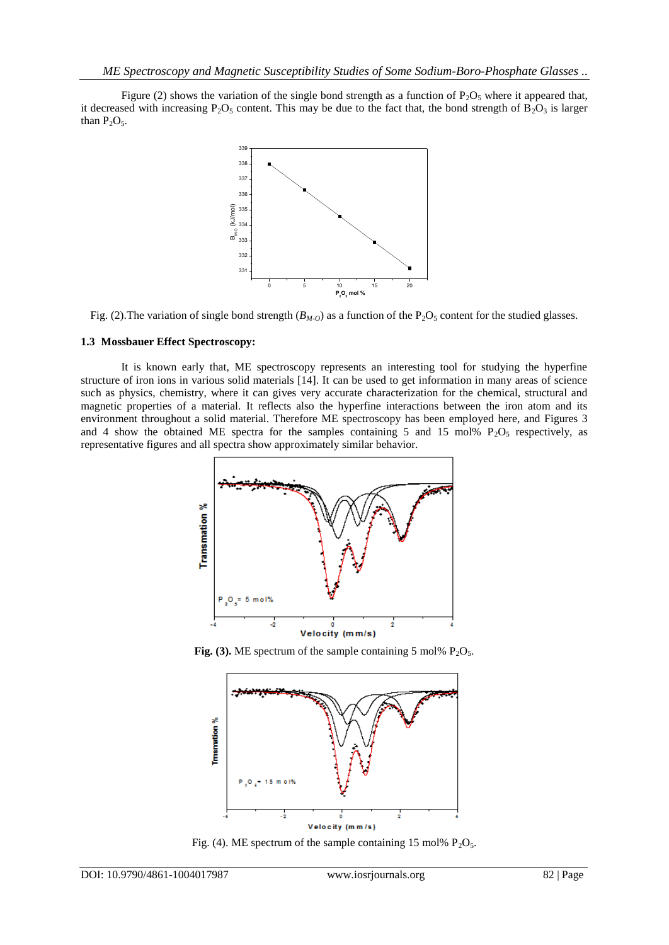Figure (2) shows the variation of the single bond strength as a function of  $P_2O_5$  where it appeared that, it decreased with increasing P<sub>2</sub>O<sub>5</sub> content. This may be due to the fact that, the bond strength of B<sub>2</sub>O<sub>3</sub> is larger than  $P_2O_5$ .



Fig. (2). The variation of single bond strength ( $B_{M_O}$ ) as a function of the P<sub>2</sub>O<sub>5</sub> content for the studied glasses.

# **1.3 Mossbauer Effect Spectroscopy:**

It is known early that, ME spectroscopy represents an interesting tool for studying the hyperfine structure of iron ions in various solid materials [14]. It can be used to get information in many areas of science such as physics, chemistry, where it can gives very accurate characterization for the chemical, structural and magnetic properties of a material. It reflects also the hyperfine interactions between the iron atom and its environment throughout a solid material. Therefore ME spectroscopy has been employed here, and Figures 3 and 4 show the obtained ME spectra for the samples containing 5 and 15 mol%  $P_2O_5$  respectively, as representative figures and all spectra show approximately similar behavior.



**Fig. (3).** ME spectrum of the sample containing 5 mol%  $P_2O_5$ .



Fig. (4). ME spectrum of the sample containing 15 mol%  $P_2O_5$ .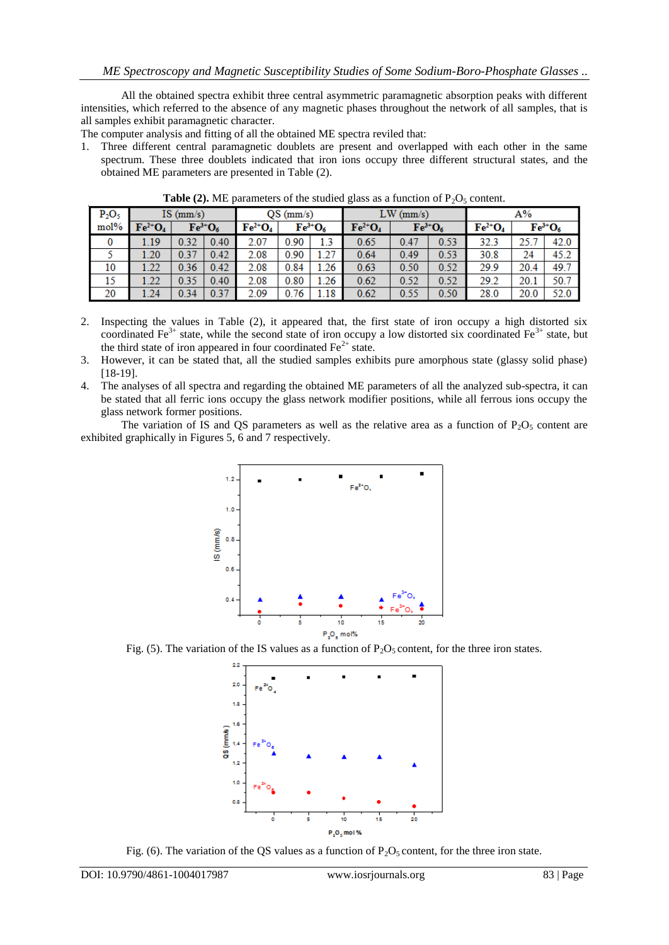All the obtained spectra exhibit three central asymmetric paramagnetic absorption peaks with different intensities, which referred to the absence of any magnetic phases throughout the network of all samples, that is all samples exhibit paramagnetic character.

The computer analysis and fitting of all the obtained ME spectra reviled that:

1. Three different central paramagnetic doublets are present and overlapped with each other in the same spectrum. These three doublets indicated that iron ions occupy three different structural states, and the obtained ME parameters are presented in Table (2).

| $P_2O_5$ | $IS \ (mm/s)$                  |      | $OS$ (mm/s)                    |                                | $LW$ (mm/s) |                            |                                | A%   |                            |                                |      |                                |
|----------|--------------------------------|------|--------------------------------|--------------------------------|-------------|----------------------------|--------------------------------|------|----------------------------|--------------------------------|------|--------------------------------|
| mol%     | $\mathbf{Fe}^{2+}\mathbf{O}_4$ |      | $\mathbf{Fe}^{3+}\mathbf{O}_6$ | $\mathbf{Fe}^{2+}\mathbf{O}_4$ |             | $\text{Fe}^{3+}\text{O}_6$ | $\mathbf{Fe}^{2+}\mathbf{O}_4$ |      | $\text{Fe}^{3+}\text{O}_6$ | $\mathbf{Fe}^{2+}\mathbf{O}_4$ |      | $\mathrm{Fe}^{3+}\mathrm{O}_6$ |
| $\bf{0}$ | .19                            | 0.32 | 0.40                           | 2.07                           | 0.90        | 1.3                        | 0.65                           | 0.47 | 0.53                       | 32.3                           | 25.1 | 42.0                           |
|          | .20                            | 0.37 | 0.42                           | 2.08                           | 0.90        | 1.27                       | 0.64                           | 0.49 | 0.53                       | 30.8                           | 24   | 45.2                           |
| 10       | 1.22                           | 0.36 | 0.42                           | 2.08                           | 0.84        | 1.26                       | 0.63                           | 0.50 | 0.52                       | 29.9                           | 20.4 | 49.7                           |
| 15       | .22                            | 0.35 | 0.40                           | 2.08                           | 0.80        | 1.26                       | 0.62                           | 0.52 | 0.52                       | 29.2                           | 20.1 | 50.7                           |
| 20       | 1.24                           | 0.34 | 0.37                           | 2.09                           | 0.76        | 1.18                       | 0.62                           | 0.55 | 0.50                       | 28.0                           | 20.0 | 52.0                           |

**Table (2).** ME parameters of the studied glass as a function of  $P_2O_5$  content.

- 2. Inspecting the values in Table (2), it appeared that, the first state of iron occupy a high distorted six coordinated Fe<sup>3+</sup> state, while the second state of iron occupy a low distorted six coordinated Fe<sup>3+</sup> state, but the third state of iron appeared in four coordinated  $Fe<sup>2+</sup>$  state.
- 3. However, it can be stated that, all the studied samples exhibits pure amorphous state (glassy solid phase) [18-19].
- 4. The analyses of all spectra and regarding the obtained ME parameters of all the analyzed sub-spectra, it can be stated that all ferric ions occupy the glass network modifier positions, while all ferrous ions occupy the glass network former positions.

The variation of IS and QS parameters as well as the relative area as a function of  $P_2O_5$  content are exhibited graphically in Figures 5, 6 and 7 respectively.



Fig. (5). The variation of the IS values as a function of  $P_2O_5$  content, for the three iron states.



Fig. (6). The variation of the QS values as a function of  $P_2O_5$  content, for the three iron state.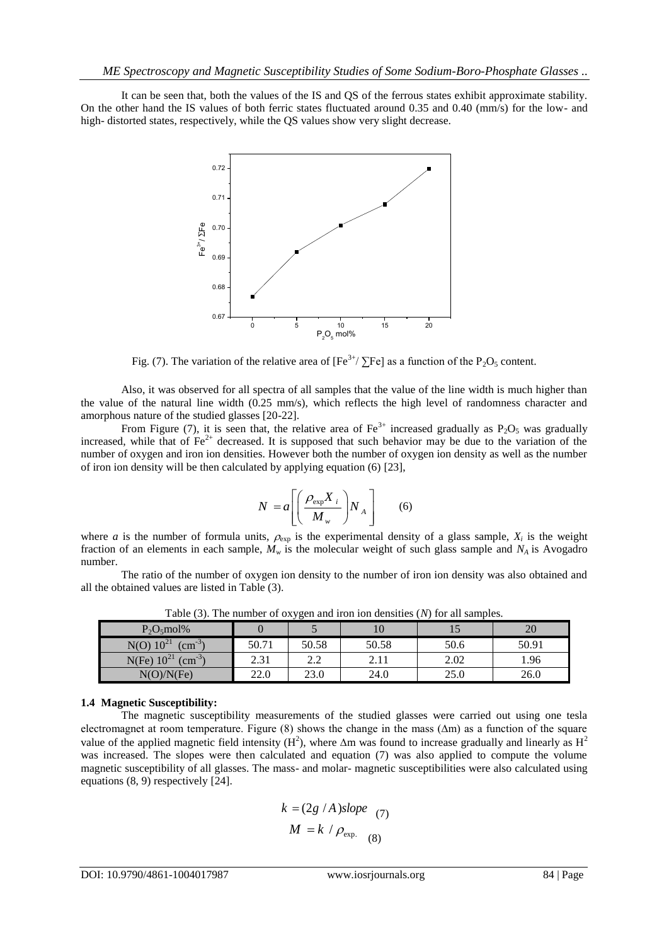It can be seen that, both the values of the IS and QS of the ferrous states exhibit approximate stability. On the other hand the IS values of both ferric states fluctuated around 0.35 and 0.40 (mm/s) for the low- and high- distorted states, respectively, while the QS values show very slight decrease.



Fig. (7). The variation of the relative area of  $[Fe^{3+}/\Sigma Fe]$  as a function of the P<sub>2</sub>O<sub>5</sub> content.

Also, it was observed for all spectra of all samples that the value of the line width is much higher than the value of the natural line width (0.25 mm/s), which reflects the high level of randomness character and amorphous nature of the studied glasses [20-22].

From Figure (7), it is seen that, the relative area of Fe<sup>3+</sup> increased gradually as P<sub>2</sub>O<sub>5</sub> was gradually increased, while that of  $Fe^{2+}$  decreased. It is supposed that such behavior may be due to the variation of the number of oxygen and iron ion densities. However both the number of oxygen ion density as well as the number of iron ion density will be then calculated by applying equation (6) [23],

$$
N = a \left[ \left( \frac{\rho_{\text{exp}} X_i}{M_w} \right) N_A \right] \qquad (6)
$$

where *a* is the number of formula units,  $\rho_{exp}$  is the experimental density of a glass sample,  $X_i$  is the weight fraction of an elements in each sample, *M<sup>w</sup>* is the molecular weight of such glass sample and *NA* is Avogadro number.

The ratio of the number of oxygen ion density to the number of iron ion density was also obtained and all the obtained values are listed in Table (3).

| $P_2O_5$ mol%                          |       |            | 10    |      | $\bigcap$<br>ZU |
|----------------------------------------|-------|------------|-------|------|-----------------|
| $N(O) 10^{21}$<br>$\text{cm}^{-3}$     | 50.71 | 50.58      | 50.58 | 50.6 | 50.91           |
| $10^{21}$<br>N(Fe)<br>$\text{cm}^{-3}$ | 2.31  | າ າ<br>2.Z | 2.11  | 2.02 | 1.96            |
| N(O)/N(Fe)                             | 22.0  | 23.0       | 24.0  | 25.0 | 26.0            |

Table (3). The number of oxygen and iron ion densities (*N*) for all samples.

### **1.4 Magnetic Susceptibility:**

The magnetic susceptibility measurements of the studied glasses were carried out using one tesla electromagnet at room temperature. Figure (8) shows the change in the mass (∆m) as a function of the square value of the applied magnetic field intensity (H<sup>2</sup>), where  $\Delta m$  was found to increase gradually and linearly as H<sup>2</sup> was increased. The slopes were then calculated and equation (7) was also applied to compute the volume magnetic susceptibility of all glasses. The mass- and molar- magnetic susceptibilities were also calculated using equations (8, 9) respectively [24].

$$
k = (2g / A) slope
$$
  

$$
M = k / \rho_{exp.} (8)
$$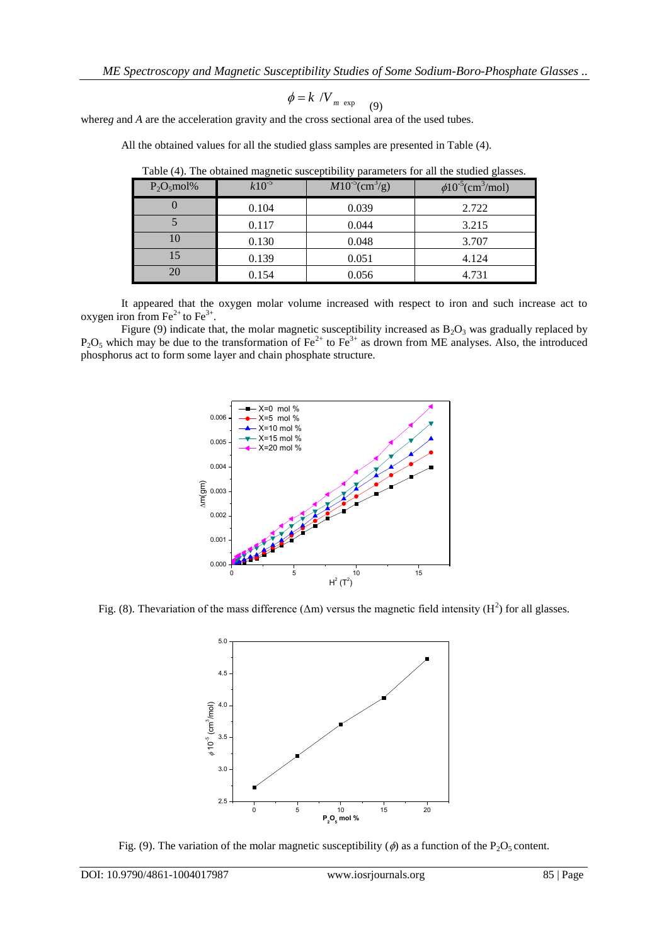$$
\phi = k / V_{m \exp} \quad (9)
$$

where*g* and *A* are the acceleration gravity and the cross sectional area of the used tubes.

| $P_2O_5$ mol% | - 0<br>$k10^{-5}$ | $M10^{-5}$ (cm <sup>3</sup> /g) | $\phi 10^{-5}$ (cm <sup>3</sup> /mol) |
|---------------|-------------------|---------------------------------|---------------------------------------|
|               | 0.104             | 0.039                           | 2.722                                 |
|               | 0.117             | 0.044                           | 3.215                                 |
| 10            | 0.130             | 0.048                           | 3.707                                 |
|               | 0.139             | 0.051                           | 4.124                                 |
| 20            | 0.154             | 0.056                           | 4.731                                 |

Table (4). The obtained magnetic susceptibility parameters for all the studied glasses.

All the obtained values for all the studied glass samples are presented in Table (4).

It appeared that the oxygen molar volume increased with respect to iron and such increase act to oxygen iron from  $\text{Fe}^{2+}$  to  $\text{Fe}^{3+}$ .

Figure (9) indicate that, the molar magnetic susceptibility increased as  $B_2O_3$  was gradually replaced by  $P_2O_5$  which may be due to the transformation of Fe<sup>2+</sup> to Fe<sup>3+</sup> as drown from ME analyses. Also, the introduced phosphorus act to form some layer and chain phosphate structure.



Fig. (8). Thevariation of the mass difference ( $\Delta m$ ) versus the magnetic field intensity (H<sup>2</sup>) for all glasses.



Fig. (9). The variation of the molar magnetic susceptibility ( $\phi$ ) as a function of the P<sub>2</sub>O<sub>5</sub> content.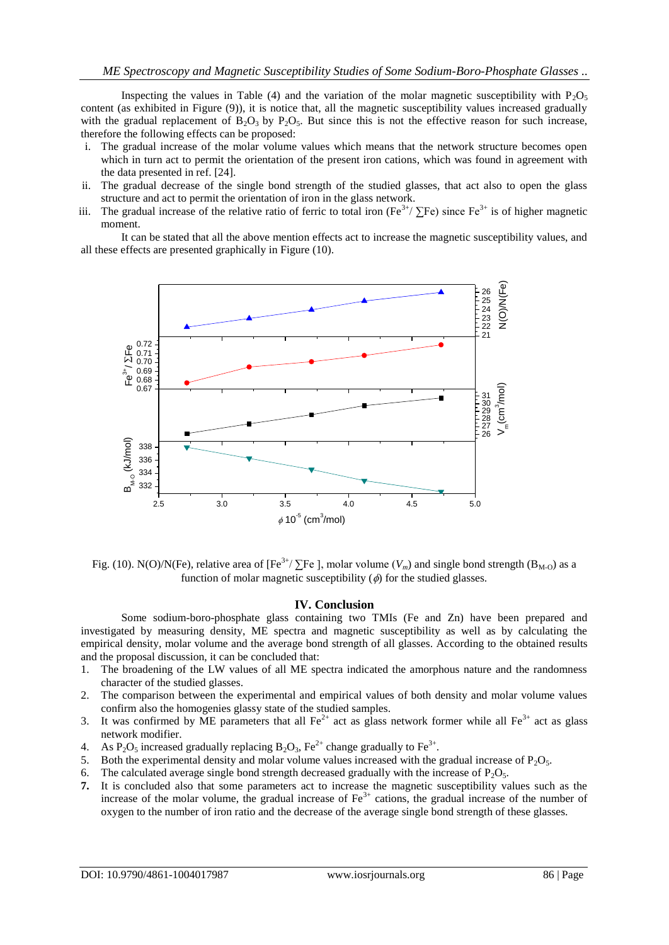Inspecting the values in Table (4) and the variation of the molar magnetic susceptibility with  $P_2O_5$ content (as exhibited in Figure (9)), it is notice that, all the magnetic susceptibility values increased gradually with the gradual replacement of  $B_2O_3$  by  $P_2O_5$ . But since this is not the effective reason for such increase, therefore the following effects can be proposed:

- i. The gradual increase of the molar volume values which means that the network structure becomes open which in turn act to permit the orientation of the present iron cations, which was found in agreement with the data presented in ref. [24].
- ii. The gradual decrease of the single bond strength of the studied glasses, that act also to open the glass structure and act to permit the orientation of iron in the glass network.
- iii. The gradual increase of the relative ratio of ferric to total iron (Fe<sup>3+</sup>/  $\Sigma$ Fe) since Fe<sup>3+</sup> is of higher magnetic moment.

It can be stated that all the above mention effects act to increase the magnetic susceptibility values, and all these effects are presented graphically in Figure (10).



Fig. (10). N(O)/N(Fe), relative area of  $[Fe^{3+}/\Sigma Fe]$ , molar volume ( $V_m$ ) and single bond strength ( $B_{M-O}$ ) as a function of molar magnetic susceptibility  $(\phi)$  for the studied glasses.

### **IV. Conclusion**

Some sodium-boro-phosphate glass containing two TMIs (Fe and Zn) have been prepared and investigated by measuring density, ME spectra and magnetic susceptibility as well as by calculating the empirical density, molar volume and the average bond strength of all glasses. According to the obtained results and the proposal discussion, it can be concluded that:

- 1. The broadening of the LW values of all ME spectra indicated the amorphous nature and the randomness character of the studied glasses.
- 2. The comparison between the experimental and empirical values of both density and molar volume values confirm also the homogenies glassy state of the studied samples.
- 3. It was confirmed by ME parameters that all  $\text{Fe}^{2+}$  act as glass network former while all  $\text{Fe}^{3+}$  act as glass network modifier.
- 4. As P<sub>2</sub>O<sub>5</sub> increased gradually replacing B<sub>2</sub>O<sub>3</sub>, Fe<sup>2+</sup> change gradually to Fe<sup>3+</sup>.
- 5. Both the experimental density and molar volume values increased with the gradual increase of  $P_2O_5$ .
- 6. The calculated average single bond strength decreased gradually with the increase of  $P_2O_5$ .
- **7.** It is concluded also that some parameters act to increase the magnetic susceptibility values such as the increase of the molar volume, the gradual increase of  $Fe<sup>3+</sup>$  cations, the gradual increase of the number of oxygen to the number of iron ratio and the decrease of the average single bond strength of these glasses.